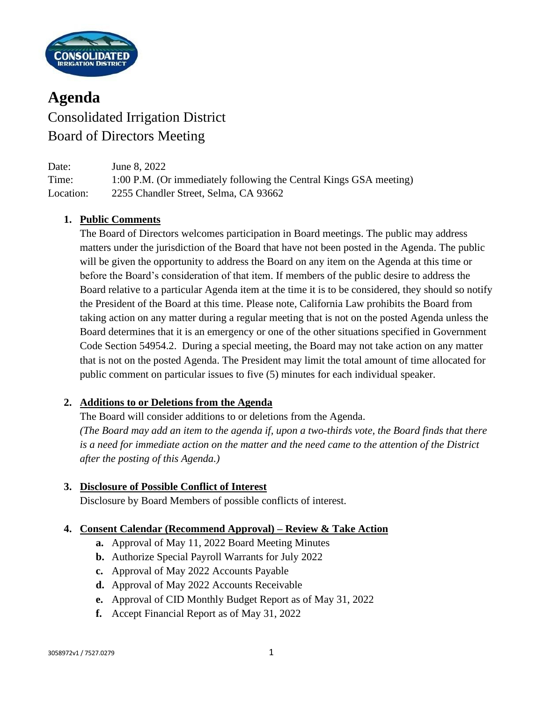

# **Agenda** Consolidated Irrigation District Board of Directors Meeting

Date: June 8, 2022 Time: 1:00 P.M. (Or immediately following the Central Kings GSA meeting) Location: 2255 Chandler Street, Selma, CA 93662

## **1. Public Comments**

The Board of Directors welcomes participation in Board meetings. The public may address matters under the jurisdiction of the Board that have not been posted in the Agenda. The public will be given the opportunity to address the Board on any item on the Agenda at this time or before the Board's consideration of that item. If members of the public desire to address the Board relative to a particular Agenda item at the time it is to be considered, they should so notify the President of the Board at this time. Please note, California Law prohibits the Board from taking action on any matter during a regular meeting that is not on the posted Agenda unless the Board determines that it is an emergency or one of the other situations specified in Government Code Section 54954.2. During a special meeting, the Board may not take action on any matter that is not on the posted Agenda. The President may limit the total amount of time allocated for public comment on particular issues to five (5) minutes for each individual speaker.

## **2. Additions to or Deletions from the Agenda**

The Board will consider additions to or deletions from the Agenda. *(The Board may add an item to the agenda if, upon a two-thirds vote, the Board finds that there is a need for immediate action on the matter and the need came to the attention of the District after the posting of this Agenda.)*

# **3. Disclosure of Possible Conflict of Interest**

Disclosure by Board Members of possible conflicts of interest.

# **4. Consent Calendar (Recommend Approval) – Review & Take Action**

- **a.** Approval of May 11, 2022 Board Meeting Minutes
- **b.** Authorize Special Payroll Warrants for July 2022
- **c.** Approval of May 2022 Accounts Payable
- **d.** Approval of May 2022 Accounts Receivable
- **e.** Approval of CID Monthly Budget Report as of May 31, 2022
- **f.** Accept Financial Report as of May 31, 2022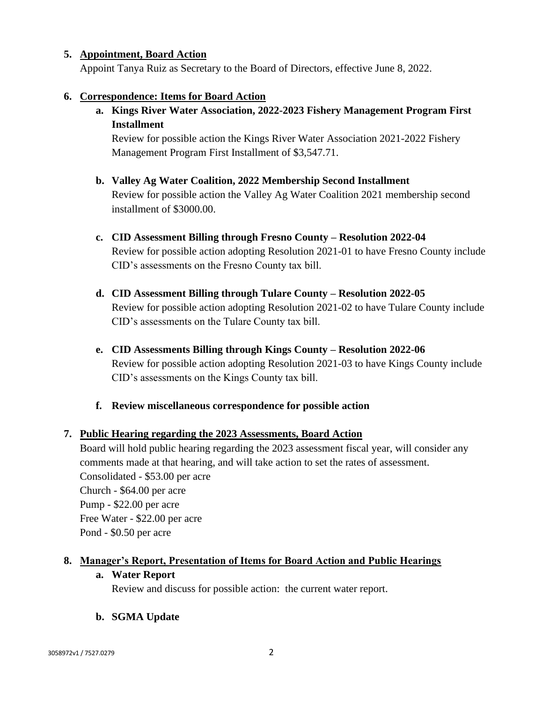#### **5. Appointment, Board Action**

Appoint Tanya Ruiz as Secretary to the Board of Directors, effective June 8, 2022.

#### **6. Correspondence: Items for Board Action**

**a. Kings River Water Association, 2022-2023 Fishery Management Program First Installment**

Review for possible action the Kings River Water Association 2021-2022 Fishery Management Program First Installment of \$3,547.71.

- **b. Valley Ag Water Coalition, 2022 Membership Second Installment** Review for possible action the Valley Ag Water Coalition 2021 membership second installment of \$3000.00.
- **c. CID Assessment Billing through Fresno County – Resolution 2022-04** Review for possible action adopting Resolution 2021-01 to have Fresno County include CID's assessments on the Fresno County tax bill.
- **d. CID Assessment Billing through Tulare County – Resolution 2022-05** Review for possible action adopting Resolution 2021-02 to have Tulare County include CID's assessments on the Tulare County tax bill.
- **e. CID Assessments Billing through Kings County – Resolution 2022-06** Review for possible action adopting Resolution 2021-03 to have Kings County include CID's assessments on the Kings County tax bill.
- **f. Review miscellaneous correspondence for possible action**

#### **7. Public Hearing regarding the 2023 Assessments, Board Action**

Board will hold public hearing regarding the 2023 assessment fiscal year, will consider any comments made at that hearing, and will take action to set the rates of assessment. Consolidated - \$53.00 per acre Church - \$64.00 per acre Pump - \$22.00 per acre Free Water - \$22.00 per acre Pond - \$0.50 per acre

#### **8. Manager's Report, Presentation of Items for Board Action and Public Hearings**

#### **a. Water Report**

Review and discuss for possible action: the current water report.

## **b. SGMA Update**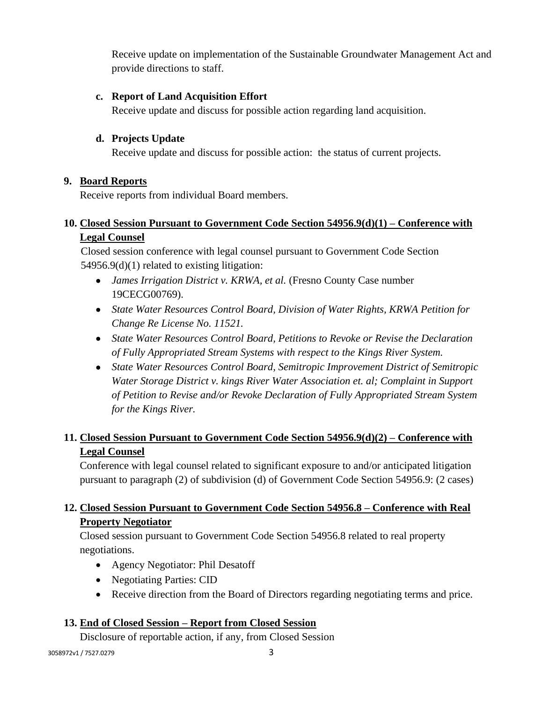Receive update on implementation of the Sustainable Groundwater Management Act and provide directions to staff.

## **c. Report of Land Acquisition Effort**

Receive update and discuss for possible action regarding land acquisition.

## **d. Projects Update**

Receive update and discuss for possible action: the status of current projects.

## **9. Board Reports**

Receive reports from individual Board members.

## **10. Closed Session Pursuant to Government Code Section 54956.9(d)(1) – Conference with Legal Counsel**

Closed session conference with legal counsel pursuant to Government Code Section 54956.9(d)(1) related to existing litigation:

- *James Irrigation District v. KRWA, et al.* (Fresno County Case number 19CECG00769).
- *State Water Resources Control Board, Division of Water Rights, KRWA Petition for Change Re License No. 11521.*
- *State Water Resources Control Board, Petitions to Revoke or Revise the Declaration of Fully Appropriated Stream Systems with respect to the Kings River System.*
- *State Water Resources Control Board, Semitropic Improvement District of Semitropic Water Storage District v. kings River Water Association et. al; Complaint in Support of Petition to Revise and/or Revoke Declaration of Fully Appropriated Stream System for the Kings River.*

# **11. Closed Session Pursuant to Government Code Section 54956.9(d)(2) – Conference with Legal Counsel**

Conference with legal counsel related to significant exposure to and/or anticipated litigation pursuant to paragraph (2) of subdivision (d) of Government Code Section 54956.9: (2 cases)

# **12. Closed Session Pursuant to Government Code Section 54956.8 – Conference with Real Property Negotiator**

Closed session pursuant to Government Code Section 54956.8 related to real property negotiations.

- Agency Negotiator: Phil Desatoff
- Negotiating Parties: CID
- Receive direction from the Board of Directors regarding negotiating terms and price.

# **13. End of Closed Session – Report from Closed Session**

Disclosure of reportable action, if any, from Closed Session